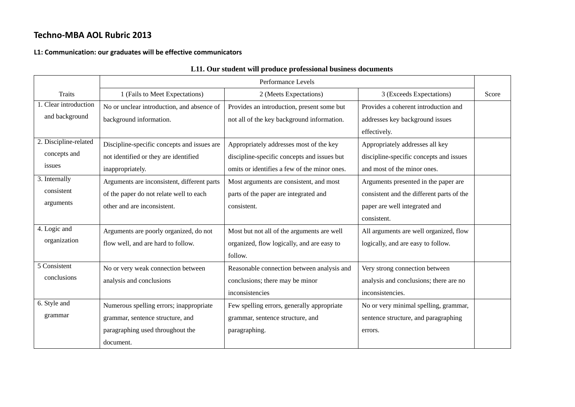#### **L1: Communication: our graduates will be effective communicators**

|                                                 | Performance Levels                                                                                                           |                                                                                                                                        |                                                                                                                                   |       |
|-------------------------------------------------|------------------------------------------------------------------------------------------------------------------------------|----------------------------------------------------------------------------------------------------------------------------------------|-----------------------------------------------------------------------------------------------------------------------------------|-------|
| <b>Traits</b>                                   | 1 (Fails to Meet Expectations)                                                                                               | 2 (Meets Expectations)                                                                                                                 | 3 (Exceeds Expectations)                                                                                                          | Score |
| 1. Clear introduction<br>and background         | No or unclear introduction, and absence of<br>background information.                                                        | Provides an introduction, present some but<br>not all of the key background information.                                               | Provides a coherent introduction and<br>addresses key background issues<br>effectively.                                           |       |
| 2. Discipline-related<br>concepts and<br>issues | Discipline-specific concepts and issues are<br>not identified or they are identified<br>inappropriately.                     | Appropriately addresses most of the key<br>discipline-specific concepts and issues but<br>omits or identifies a few of the minor ones. | Appropriately addresses all key<br>discipline-specific concepts and issues<br>and most of the minor ones.                         |       |
| 3. Internally<br>consistent<br>arguments        | Arguments are inconsistent, different parts<br>of the paper do not relate well to each<br>other and are inconsistent.        | Most arguments are consistent, and most<br>parts of the paper are integrated and<br>consistent.                                        | Arguments presented in the paper are<br>consistent and the different parts of the<br>paper are well integrated and<br>consistent. |       |
| 4. Logic and<br>organization                    | Arguments are poorly organized, do not<br>flow well, and are hard to follow.                                                 | Most but not all of the arguments are well<br>organized, flow logically, and are easy to<br>follow.                                    | All arguments are well organized, flow<br>logically, and are easy to follow.                                                      |       |
| 5 Consistent<br>conclusions                     | No or very weak connection between<br>analysis and conclusions                                                               | Reasonable connection between analysis and<br>conclusions; there may be minor<br>inconsistencies                                       | Very strong connection between<br>analysis and conclusions; there are no<br>inconsistencies.                                      |       |
| 6. Style and<br>grammar                         | Numerous spelling errors; inappropriate<br>grammar, sentence structure, and<br>paragraphing used throughout the<br>document. | Few spelling errors, generally appropriate<br>grammar, sentence structure, and<br>paragraphing.                                        | No or very minimal spelling, grammar,<br>sentence structure, and paragraphing<br>errors.                                          |       |

### **L11. Our student will produce professional business documents**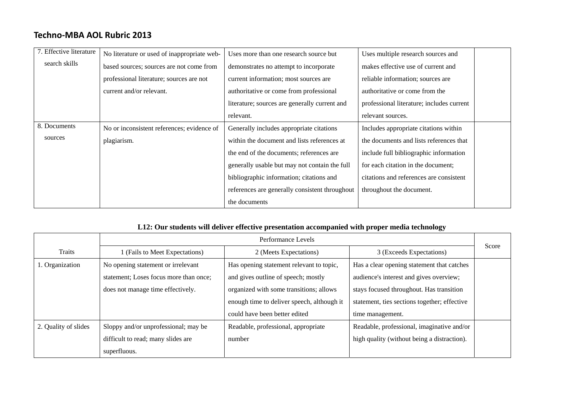| 7. Effective literature | No literature or used of inappropriate web- | Uses more than one research source but         | Uses multiple research sources and        |
|-------------------------|---------------------------------------------|------------------------------------------------|-------------------------------------------|
| search skills           | based sources; sources are not come from    | demonstrates no attempt to incorporate         | makes effective use of current and        |
|                         | professional literature; sources are not    | current information; most sources are          | reliable information; sources are         |
|                         | current and/or relevant.                    | authoritative or come from professional        | authoritative or come from the            |
|                         |                                             | literature; sources are generally current and  | professional literature; includes current |
|                         |                                             | relevant.                                      | relevant sources.                         |
| 8. Documents            | No or inconsistent references; evidence of  | Generally includes appropriate citations       | Includes appropriate citations within     |
| sources                 | plagiarism.                                 | within the document and lists references at    | the documents and lists references that   |
|                         |                                             | the end of the documents; references are       | include full bibliographic information    |
|                         |                                             | generally usable but may not contain the full  | for each citation in the document;        |
|                         |                                             | bibliographic information; citations and       | citations and references are consistent   |
|                         |                                             | references are generally consistent throughout | throughout the document.                  |
|                         |                                             | the documents                                  |                                           |

## **L12: Our students will deliver effective presentation accompanied with proper media technology**

|                      | Performance Levels                     |                                            |                                              |       |
|----------------------|----------------------------------------|--------------------------------------------|----------------------------------------------|-------|
| Traits               | I (Fails to Meet Expectations)         | 2 (Meets Expectations)                     | 3 (Exceeds Expectations)                     | Score |
| 1. Organization      | No opening statement or irrelevant     | Has opening statement relevant to topic,   | Has a clear opening statement that catches   |       |
|                      | statement; Loses focus more than once; | and gives outline of speech; mostly        | audience's interest and gives overview;      |       |
|                      | does not manage time effectively.      | organized with some transitions; allows    | stays focused throughout. Has transition     |       |
|                      |                                        | enough time to deliver speech, although it | statement, ties sections together; effective |       |
|                      |                                        | could have been better edited              | time management.                             |       |
| 2. Quality of slides | Sloppy and/or unprofessional; may be   | Readable, professional, appropriate        | Readable, professional, imaginative and/or   |       |
|                      | difficult to read; many slides are     | number                                     | high quality (without being a distraction).  |       |
|                      | superfluous.                           |                                            |                                              |       |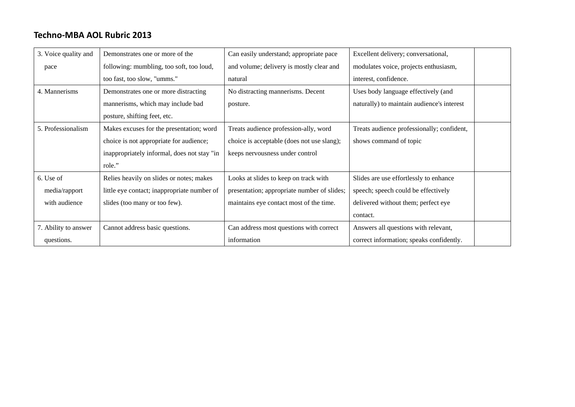| 3. Voice quality and | Demonstrates one or more of the             | Can easily understand; appropriate pace     | Excellent delivery; conversational,        |
|----------------------|---------------------------------------------|---------------------------------------------|--------------------------------------------|
| pace                 | following: mumbling, too soft, too loud,    | and volume; delivery is mostly clear and    | modulates voice, projects enthusiasm,      |
|                      | too fast, too slow, "umms."                 | natural                                     | interest, confidence.                      |
| 4. Mannerisms        | Demonstrates one or more distracting        | No distracting mannerisms. Decent           | Uses body language effectively (and        |
|                      | mannerisms, which may include bad           | posture.                                    | naturally) to maintain audience's interest |
|                      | posture, shifting feet, etc.                |                                             |                                            |
| 5. Professionalism   | Makes excuses for the presentation; word    | Treats audience profession-ally, word       | Treats audience professionally; confident, |
|                      | choice is not appropriate for audience;     | choice is acceptable (does not use slang);  | shows command of topic                     |
|                      | inappropriately informal, does not stay "in | keeps nervousness under control             |                                            |
|                      | role."                                      |                                             |                                            |
| 6. Use of            | Relies heavily on slides or notes; makes    | Looks at slides to keep on track with       | Slides are use effortlessly to enhance     |
| media/rapport        | little eye contact; inappropriate number of | presentation; appropriate number of slides; | speech; speech could be effectively        |
| with audience        | slides (too many or too few).               | maintains eye contact most of the time.     | delivered without them; perfect eye        |
|                      |                                             |                                             | contact.                                   |
| 7. Ability to answer | Cannot address basic questions.             | Can address most questions with correct     | Answers all questions with relevant,       |
| questions.           |                                             | information                                 | correct information; speaks confidently.   |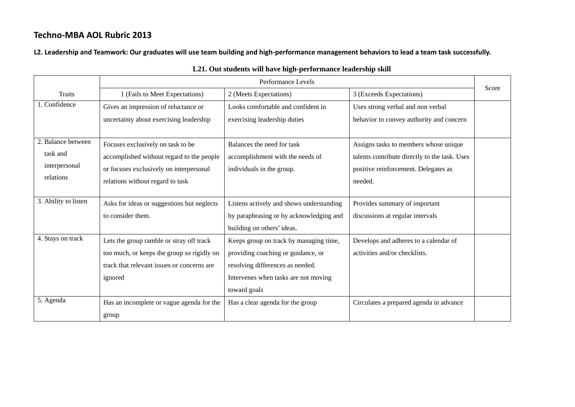L2. Leadership and Teamwork: Our graduates will use team building and high-performance management behaviors to lead a team task successfully.

|                                                              |                                                                                                                                                               | Performance Levels                                                                                                                                                       |                                                                                                                                           |       |
|--------------------------------------------------------------|---------------------------------------------------------------------------------------------------------------------------------------------------------------|--------------------------------------------------------------------------------------------------------------------------------------------------------------------------|-------------------------------------------------------------------------------------------------------------------------------------------|-------|
| Traits                                                       | 1 (Fails to Meet Expectations)                                                                                                                                | 2 (Meets Expectations)                                                                                                                                                   | 3 (Exceeds Expectations)                                                                                                                  | Score |
| 1. Confidence                                                | Gives an impression of reluctance or                                                                                                                          | Looks comfortable and confident in                                                                                                                                       | Uses strong verbal and non verbal                                                                                                         |       |
|                                                              | uncertainty about exercising leadership                                                                                                                       | exercising leadership duties                                                                                                                                             | behavior to convey authority and concern                                                                                                  |       |
| 2. Balance between<br>task and<br>interpersonal<br>relations | Focuses exclusively on task to be<br>accomplished without regard to the people<br>or focuses exclusively on interpersonal<br>relations without regard to task | Balances the need for task<br>accomplishment with the needs of<br>individuals in the group.                                                                              | Assigns tasks to members whose unique<br>talents contribute directly to the task. Uses<br>positive reinforcement. Delegates as<br>needed. |       |
| 3. Ability to listen                                         | Asks for ideas or suggestions but neglects<br>to consider them.                                                                                               | Listens actively and shows understanding<br>by paraphrasing or by acknowledging and<br>building on others' ideas.                                                        | Provides summary of important<br>discussions at regular intervals                                                                         |       |
| 4. Stays on track                                            | Lets the group ramble or stray off track<br>too much, or keeps the group so rigidly on<br>track that relevant issues or concerns are<br>ignored               | Keeps group on track by managing time,<br>providing coaching or guidance, or<br>resolving differences as needed.<br>Intervenes when tasks are not moving<br>toward goals | Develops and adheres to a calendar of<br>activities and/or checklists.                                                                    |       |
| 5. Agenda                                                    | Has an incomplete or vague agenda for the<br>group                                                                                                            | Has a clear agenda for the group                                                                                                                                         | Circulates a prepared agenda in advance                                                                                                   |       |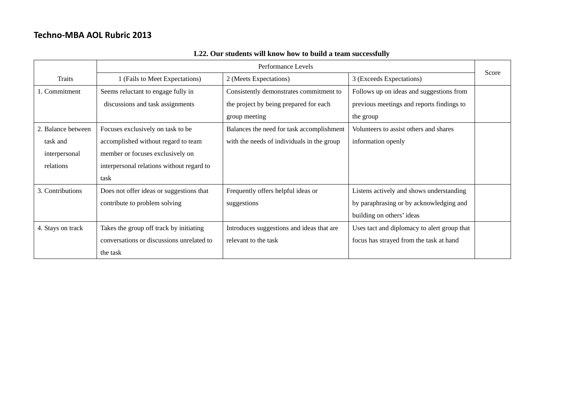|                    | Performance Levels                        |                                            |                                             |       |
|--------------------|-------------------------------------------|--------------------------------------------|---------------------------------------------|-------|
| Traits             | 1 (Fails to Meet Expectations)            | 2 (Meets Expectations)                     | 3 (Exceeds Expectations)                    | Score |
| 1. Commitment      | Seems reluctant to engage fully in        | Consistently demonstrates commitment to    | Follows up on ideas and suggestions from    |       |
|                    | discussions and task assignments          | the project by being prepared for each     | previous meetings and reports findings to   |       |
|                    |                                           | group meeting                              | the group                                   |       |
| 2. Balance between | Focuses exclusively on task to be         | Balances the need for task accomplishment  | Volunteers to assist others and shares      |       |
| task and           | accomplished without regard to team       | with the needs of individuals in the group | information openly                          |       |
| interpersonal      | member or focuses exclusively on          |                                            |                                             |       |
| relations          | interpersonal relations without regard to |                                            |                                             |       |
|                    | task                                      |                                            |                                             |       |
| 3. Contributions   | Does not offer ideas or suggestions that  | Frequently offers helpful ideas or         | Listens actively and shows understanding    |       |
|                    | contribute to problem solving             | suggestions                                | by paraphrasing or by acknowledging and     |       |
|                    |                                           |                                            | building on others' ideas                   |       |
| 4. Stays on track  | Takes the group off track by initiating   | Introduces suggestions and ideas that are  | Uses tact and diplomacy to alert group that |       |
|                    | conversations or discussions unrelated to | relevant to the task                       | focus has strayed from the task at hand     |       |
|                    | the task                                  |                                            |                                             |       |

## **L22. Our students will know how to build a team successfully**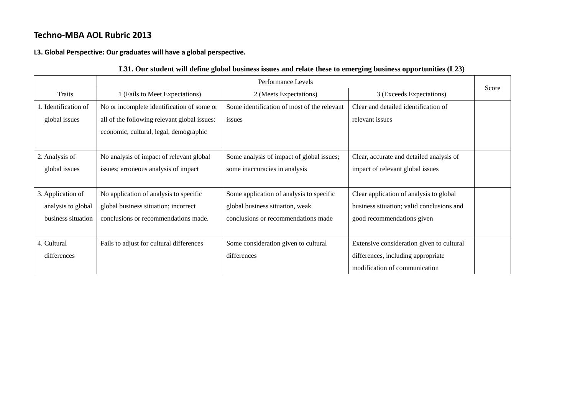#### **L3. Global Perspective: Our graduates will have <sup>a</sup> global perspective.**

|                      | Performance Levels                           |                                             |                                           |       |  |
|----------------------|----------------------------------------------|---------------------------------------------|-------------------------------------------|-------|--|
| Traits               | 1 (Fails to Meet Expectations)               | 2 (Meets Expectations)                      | 3 (Exceeds Expectations)                  | Score |  |
| 1. Identification of | No or incomplete identification of some or   | Some identification of most of the relevant | Clear and detailed identification of      |       |  |
| global issues        | all of the following relevant global issues: | issues                                      | relevant issues                           |       |  |
|                      | economic, cultural, legal, demographic       |                                             |                                           |       |  |
|                      |                                              |                                             |                                           |       |  |
| 2. Analysis of       | No analysis of impact of relevant global     | Some analysis of impact of global issues;   | Clear, accurate and detailed analysis of  |       |  |
| global issues        | issues; erroneous analysis of impact         | some inaccuracies in analysis               | impact of relevant global issues          |       |  |
|                      |                                              |                                             |                                           |       |  |
| 3. Application of    | No application of analysis to specific       | Some application of analysis to specific    | Clear application of analysis to global   |       |  |
| analysis to global   | global business situation; incorrect         | global business situation, weak             | business situation; valid conclusions and |       |  |
| business situation   | conclusions or recommendations made.         | conclusions or recommendations made         | good recommendations given                |       |  |
|                      |                                              |                                             |                                           |       |  |
| 4. Cultural          | Fails to adjust for cultural differences     | Some consideration given to cultural        | Extensive consideration given to cultural |       |  |
| differences          |                                              | differences                                 | differences, including appropriate        |       |  |
|                      |                                              |                                             | modification of communication             |       |  |

### **L31. Our student will define global business issues and relate these to emerging business opportunities (L23)**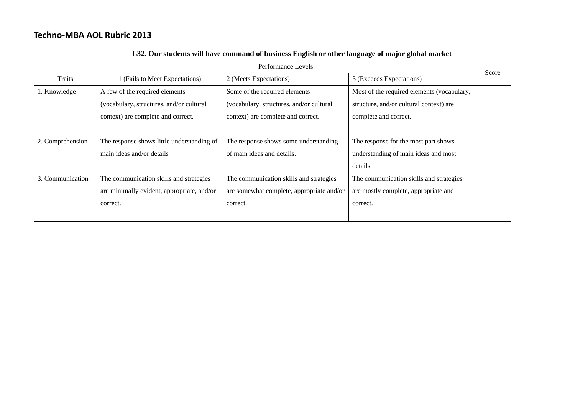|                  | Performance Levels                         |                                           |                                            |       |
|------------------|--------------------------------------------|-------------------------------------------|--------------------------------------------|-------|
| Traits           | 1 (Fails to Meet Expectations)             | 2 (Meets Expectations)                    | 3 (Exceeds Expectations)                   | Score |
| 1. Knowledge     | A few of the required elements             | Some of the required elements             | Most of the required elements (vocabulary, |       |
|                  | (vocabulary, structures, and/or cultural)  | (vocabulary, structures, and/or cultural) | structure, and/or cultural context) are    |       |
|                  | context) are complete and correct.         | context) are complete and correct.        | complete and correct.                      |       |
|                  |                                            |                                           |                                            |       |
| 2. Comprehension | The response shows little understanding of | The response shows some understanding     | The response for the most part shows       |       |
|                  | main ideas and/or details                  | of main ideas and details.                | understanding of main ideas and most       |       |
|                  |                                            |                                           | details.                                   |       |
| 3. Communication | The communication skills and strategies    | The communication skills and strategies   | The communication skills and strategies    |       |
|                  | are minimally evident, appropriate, and/or | are somewhat complete, appropriate and/or | are mostly complete, appropriate and       |       |
|                  | correct.                                   | correct.                                  | correct.                                   |       |
|                  |                                            |                                           |                                            |       |

## **L32. Our students will have command of business English or other language of major global market**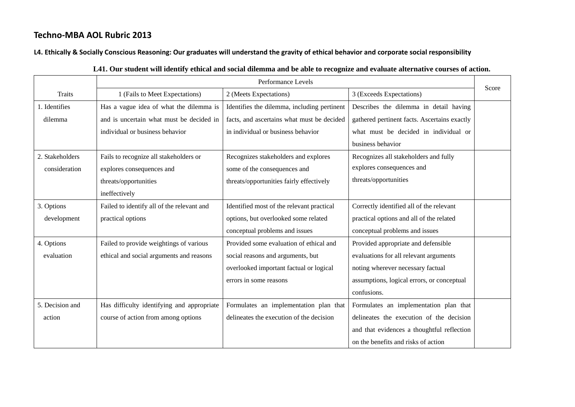L4. Ethically & Socially Conscious Reasoning: Our graduates will understand the gravity of ethical behavior and corporate social responsibility

|                 |                                            | Performance Levels                          |                                              |       |
|-----------------|--------------------------------------------|---------------------------------------------|----------------------------------------------|-------|
| Traits          | 1 (Fails to Meet Expectations)             | 2 (Meets Expectations)                      | 3 (Exceeds Expectations)                     | Score |
| 1. Identifies   | Has a vague idea of what the dilemma is    | Identifies the dilemma, including pertinent | Describes the dilemma in detail having       |       |
| dilemma         | and is uncertain what must be decided in   | facts, and ascertains what must be decided  | gathered pertinent facts. Ascertains exactly |       |
|                 | individual or business behavior            | in individual or business behavior          | what must be decided in individual or        |       |
|                 |                                            |                                             | business behavior                            |       |
| 2. Stakeholders | Fails to recognize all stakeholders or     | Recognizes stakeholders and explores        | Recognizes all stakeholders and fully        |       |
| consideration   | explores consequences and                  | some of the consequences and                | explores consequences and                    |       |
|                 | threats/opportunities                      | threats/opportunities fairly effectively    | threats/opportunities                        |       |
|                 | ineffectively                              |                                             |                                              |       |
| 3. Options      | Failed to identify all of the relevant and | Identified most of the relevant practical   | Correctly identified all of the relevant     |       |
| development     | practical options                          | options, but overlooked some related        | practical options and all of the related     |       |
|                 |                                            | conceptual problems and issues              | conceptual problems and issues               |       |
| 4. Options      | Failed to provide weightings of various    | Provided some evaluation of ethical and     | Provided appropriate and defensible          |       |
| evaluation      | ethical and social arguments and reasons   | social reasons and arguments, but           | evaluations for all relevant arguments       |       |
|                 |                                            | overlooked important factual or logical     | noting wherever necessary factual            |       |
|                 |                                            | errors in some reasons                      | assumptions, logical errors, or conceptual   |       |
|                 |                                            |                                             | confusions.                                  |       |
| 5. Decision and | Has difficulty identifying and appropriate | Formulates an implementation plan that      | Formulates an implementation plan that       |       |
| action          | course of action from among options        | delineates the execution of the decision    | delineates the execution of the decision     |       |
|                 |                                            |                                             | and that evidences a thoughtful reflection   |       |
|                 |                                            |                                             | on the benefits and risks of action          |       |

### **L41. Our student will identify ethical and social dilemma and be able to recognize and evaluate alternative courses of action.**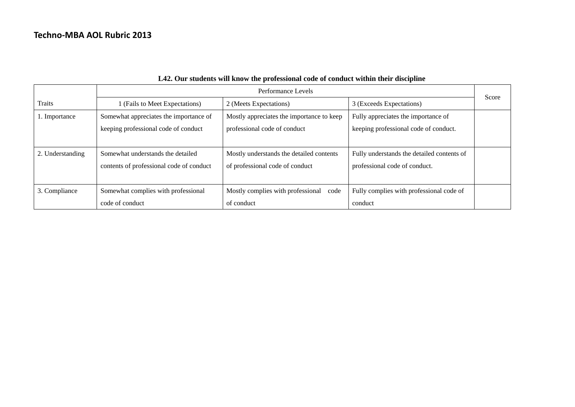|                  | Performance Levels                       |                                           |                                            |       |
|------------------|------------------------------------------|-------------------------------------------|--------------------------------------------|-------|
| <b>Traits</b>    | 1 (Fails to Meet Expectations)           | 2 (Meets Expectations)                    | 3 (Exceeds Expectations)                   | Score |
| 1. Importance    | Somewhat appreciates the importance of   | Mostly appreciates the importance to keep | Fully appreciates the importance of        |       |
|                  | keeping professional code of conduct     | professional code of conduct              | keeping professional code of conduct.      |       |
|                  |                                          |                                           |                                            |       |
| 2. Understanding | Somewhat understands the detailed        | Mostly understands the detailed contents  | Fully understands the detailed contents of |       |
|                  | contents of professional code of conduct | of professional code of conduct           | professional code of conduct.              |       |
|                  |                                          |                                           |                                            |       |
| 3. Compliance    | Somewhat complies with professional      | Mostly complies with professional code    | Fully complies with professional code of   |       |
|                  | code of conduct                          | of conduct                                | conduct                                    |       |

### **L42. Our students will know the professional code of conduct within their discipline**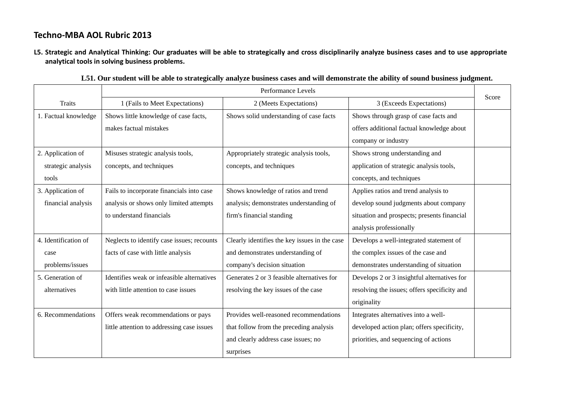L5. Strategic and Analytical Thinking: Our graduates will be able to strategically and cross disciplinarily analyze business cases and to use appropriate **analytical tools in solving business problems.**

|                      | Performance Levels                         |                                               |                                              |       |
|----------------------|--------------------------------------------|-----------------------------------------------|----------------------------------------------|-------|
| <b>Traits</b>        | 1 (Fails to Meet Expectations)             | 2 (Meets Expectations)                        | 3 (Exceeds Expectations)                     | Score |
| 1. Factual knowledge | Shows little knowledge of case facts,      | Shows solid understanding of case facts       | Shows through grasp of case facts and        |       |
|                      | makes factual mistakes                     |                                               | offers additional factual knowledge about    |       |
|                      |                                            |                                               | company or industry                          |       |
| 2. Application of    | Misuses strategic analysis tools,          | Appropriately strategic analysis tools,       | Shows strong understanding and               |       |
| strategic analysis   | concepts, and techniques                   | concepts, and techniques                      | application of strategic analysis tools,     |       |
| tools                |                                            |                                               | concepts, and techniques                     |       |
| 3. Application of    | Fails to incorporate financials into case  | Shows knowledge of ratios and trend           | Applies ratios and trend analysis to         |       |
| financial analysis   | analysis or shows only limited attempts    | analysis; demonstrates understanding of       | develop sound judgments about company        |       |
|                      | to understand financials                   | firm's financial standing                     | situation and prospects; presents financial  |       |
|                      |                                            |                                               | analysis professionally                      |       |
| 4. Identification of | Neglects to identify case issues; recounts | Clearly identifies the key issues in the case | Develops a well-integrated statement of      |       |
| case                 | facts of case with little analysis         | and demonstrates understanding of             | the complex issues of the case and           |       |
| problems/issues      |                                            | company's decision situation                  | demonstrates understanding of situation      |       |
| 5. Generation of     | Identifies weak or infeasible alternatives | Generates 2 or 3 feasible alternatives for    | Develops 2 or 3 insightful alternatives for  |       |
| alternatives         | with little attention to case issues       | resolving the key issues of the case          | resolving the issues; offers specificity and |       |
|                      |                                            |                                               | originality                                  |       |
| 6. Recommendations   | Offers weak recommendations or pays        | Provides well-reasoned recommendations        | Integrates alternatives into a well-         |       |
|                      | little attention to addressing case issues | that follow from the preceding analysis       | developed action plan; offers specificity,   |       |
|                      |                                            | and clearly address case issues; no           | priorities, and sequencing of actions        |       |
|                      |                                            | surprises                                     |                                              |       |

**L51. Our student will be able to strategically analyze business cases and will demonstrate the ability of sound business judgment.**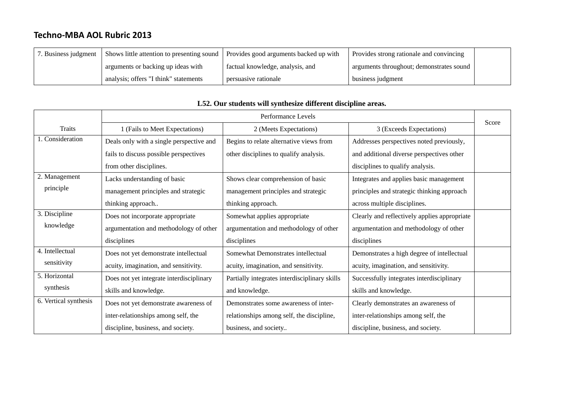| 7. Business judgment | Shows little attention to presenting sound | Provides good arguments backed up with | Provides strong rationale and convincing |  |
|----------------------|--------------------------------------------|----------------------------------------|------------------------------------------|--|
|                      | arguments or backing up ideas with         | factual knowledge, analysis, and       | arguments throughout; demonstrates sound |  |
|                      | analysis; offers "I think" statements      | persuasive rationale                   | business judgment                        |  |

|                       | Performance Levels                       |                                               |                                              |       |
|-----------------------|------------------------------------------|-----------------------------------------------|----------------------------------------------|-------|
| Traits                | 1 (Fails to Meet Expectations)           | 2 (Meets Expectations)                        | 3 (Exceeds Expectations)                     | Score |
| 1. Consideration      | Deals only with a single perspective and | Begins to relate alternative views from       | Addresses perspectives noted previously,     |       |
|                       | fails to discuss possible perspectives   | other disciplines to qualify analysis.        | and additional diverse perspectives other    |       |
|                       | from other disciplines.                  |                                               | disciplines to qualify analysis.             |       |
| 2. Management         | Lacks understanding of basic             | Shows clear comprehension of basic            | Integrates and applies basic management      |       |
| principle             | management principles and strategic      | management principles and strategic           | principles and strategic thinking approach   |       |
|                       | thinking approach                        | thinking approach.                            | across multiple disciplines.                 |       |
| 3. Discipline         | Does not incorporate appropriate         | Somewhat applies appropriate                  | Clearly and reflectively applies appropriate |       |
| knowledge             | argumentation and methodology of other   | argumentation and methodology of other        | argumentation and methodology of other       |       |
|                       | disciplines                              | disciplines                                   | disciplines                                  |       |
| 4. Intellectual       | Does not yet demonstrate intellectual    | Somewhat Demonstrates intellectual            | Demonstrates a high degree of intellectual   |       |
| sensitivity           | acuity, imagination, and sensitivity.    | acuity, imagination, and sensitivity.         | acuity, imagination, and sensitivity.        |       |
| 5. Horizontal         | Does not yet integrate interdisciplinary | Partially integrates interdisciplinary skills | Successfully integrates interdisciplinary    |       |
| synthesis             | skills and knowledge.                    | and knowledge.                                | skills and knowledge.                        |       |
| 6. Vertical synthesis | Does not yet demonstrate awareness of    | Demonstrates some awareness of inter-         | Clearly demonstrates an awareness of         |       |
|                       | inter-relationships among self, the      | relationships among self, the discipline,     | inter-relationships among self, the          |       |
|                       | discipline, business, and society.       | business, and society                         | discipline, business, and society.           |       |

## **L52. Our students will synthesize different discipline areas.**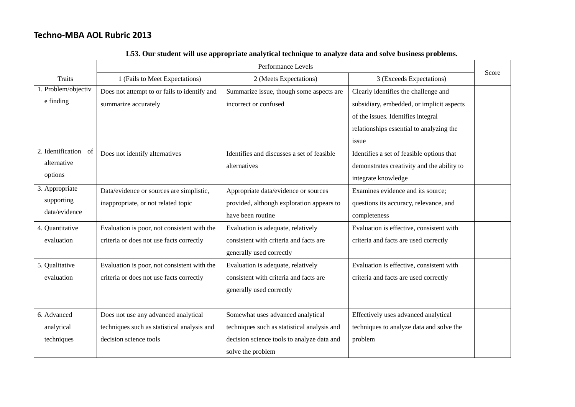|                         | Performance Levels                           |                                             |                                            |       |
|-------------------------|----------------------------------------------|---------------------------------------------|--------------------------------------------|-------|
| Traits                  | 1 (Fails to Meet Expectations)               | 2 (Meets Expectations)                      | 3 (Exceeds Expectations)                   | Score |
| 1. Problem/objectiv     | Does not attempt to or fails to identify and | Summarize issue, though some aspects are    | Clearly identifies the challenge and       |       |
| e finding               | summarize accurately                         | incorrect or confused                       | subsidiary, embedded, or implicit aspects  |       |
|                         |                                              |                                             | of the issues. Identifies integral         |       |
|                         |                                              |                                             | relationships essential to analyzing the   |       |
|                         |                                              |                                             | issue                                      |       |
| 2. Identification<br>of | Does not identify alternatives               | Identifies and discusses a set of feasible  | Identifies a set of feasible options that  |       |
| alternative             |                                              | alternatives                                | demonstrates creativity and the ability to |       |
| options                 |                                              |                                             | integrate knowledge                        |       |
| 3. Appropriate          | Data/evidence or sources are simplistic,     | Appropriate data/evidence or sources        | Examines evidence and its source;          |       |
| supporting              | inappropriate, or not related topic          | provided, although exploration appears to   | questions its accuracy, relevance, and     |       |
| data/evidence           |                                              | have been routine                           | completeness                               |       |
| 4. Quantitative         | Evaluation is poor, not consistent with the  | Evaluation is adequate, relatively          | Evaluation is effective, consistent with   |       |
| evaluation              | criteria or does not use facts correctly     | consistent with criteria and facts are      | criteria and facts are used correctly      |       |
|                         |                                              | generally used correctly                    |                                            |       |
| 5. Qualitative          | Evaluation is poor, not consistent with the  | Evaluation is adequate, relatively          | Evaluation is effective, consistent with   |       |
| evaluation              | criteria or does not use facts correctly     | consistent with criteria and facts are      | criteria and facts are used correctly      |       |
|                         |                                              | generally used correctly                    |                                            |       |
|                         |                                              |                                             |                                            |       |
| 6. Advanced             | Does not use any advanced analytical         | Somewhat uses advanced analytical           | Effectively uses advanced analytical       |       |
| analytical              | techniques such as statistical analysis and  | techniques such as statistical analysis and | techniques to analyze data and solve the   |       |
| techniques              | decision science tools                       | decision science tools to analyze data and  | problem                                    |       |
|                         |                                              | solve the problem                           |                                            |       |

### **L53. Our student will use appropriate analytical technique to analyze data and solve business problems.**